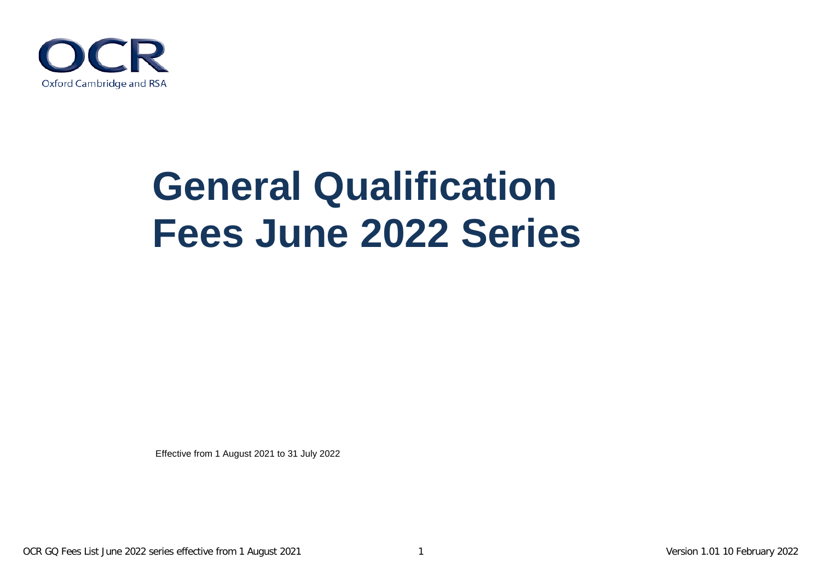

# **General Qualification Fees June 2022 Series**

Effective from 1 August 2021 to 31 July 2022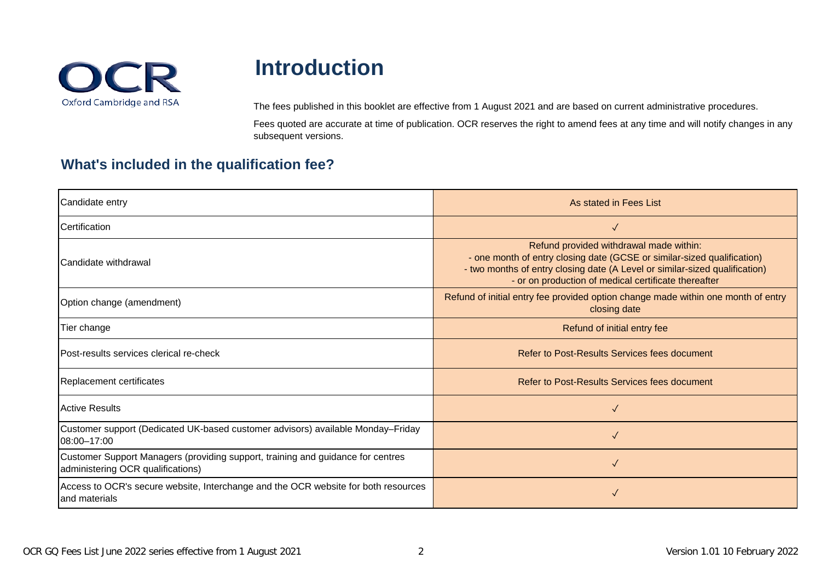

## **Introduction**

The fees published in this booklet are effective from 1 August 2021 and are based on current administrative procedures.

Fees quoted are accurate at time of publication. OCR reserves the right to amend fees at any time and will notify changes in any subsequent versions.

### **What's included in the qualification fee?**

| Candidate entry                                                                                                      | As stated in Fees List                                                                                                                                                                                                                                    |
|----------------------------------------------------------------------------------------------------------------------|-----------------------------------------------------------------------------------------------------------------------------------------------------------------------------------------------------------------------------------------------------------|
| <b>Certification</b>                                                                                                 | $\checkmark$                                                                                                                                                                                                                                              |
| lCandidate withdrawal                                                                                                | Refund provided withdrawal made within:<br>- one month of entry closing date (GCSE or similar-sized qualification)<br>- two months of entry closing date (A Level or similar-sized qualification)<br>- or on production of medical certificate thereafter |
| Option change (amendment)                                                                                            | Refund of initial entry fee provided option change made within one month of entry<br>closing date                                                                                                                                                         |
| Tier change                                                                                                          | Refund of initial entry fee                                                                                                                                                                                                                               |
| Post-results services clerical re-check                                                                              | Refer to Post-Results Services fees document                                                                                                                                                                                                              |
| Replacement certificates                                                                                             | Refer to Post-Results Services fees document                                                                                                                                                                                                              |
| <b>Active Results</b>                                                                                                | $\checkmark$                                                                                                                                                                                                                                              |
| Customer support (Dedicated UK-based customer advisors) available Monday-Friday<br>08:00-17:00                       | $\checkmark$                                                                                                                                                                                                                                              |
| Customer Support Managers (providing support, training and guidance for centres<br>administering OCR qualifications) | $\checkmark$                                                                                                                                                                                                                                              |
| Access to OCR's secure website, Interchange and the OCR website for both resources<br>and materials                  | $\checkmark$                                                                                                                                                                                                                                              |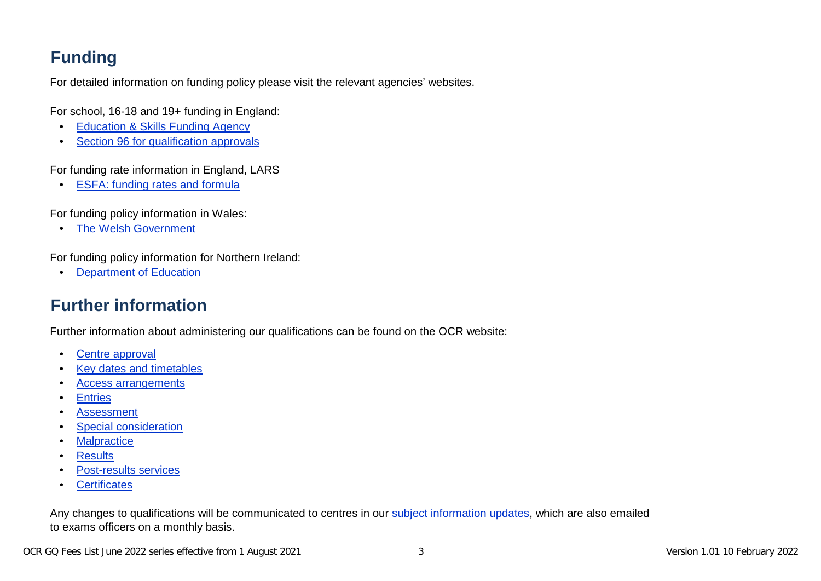### **Funding**

For detailed information on funding policy please visit the relevant agencies' websites.

For school, 16-18 and 19+ funding in England:

- [Education & Skills Funding Agency](https://www.gov.uk/government/organisations/education-and-skills-funding-agency)
- [Section 96 for qualification approvals](http://www.education.gov.uk/section96/)

For funding rate information in England, LARS

• [ESFA: funding rates and formula](https://www.gov.uk/government/publications/funding-rates-and-formula)

For funding policy information in Wales:

• [The Welsh Government](https://gov.wales/education-skills)

For funding policy information for Northern Ireland:

• [Department of Education](https://www.education-ni.gov.uk/)

### **Further information**

Further information about administering our qualifications can be found on the OCR website:

- [Centre approval](https://www.ocr.org.uk/administration/general-qualifications/preparation/centre-approval/)
- [Key dates and timetables](https://www.ocr.org.uk/administration/key-dates-and-timetables/)
- [Access arrangements](https://www.ocr.org.uk/administration/general-qualifications/preparation/access-arrangements/)
- [Entries](https://www.ocr.org.uk/administration/make-entries/)
- **[Assessment](https://www.ocr.org.uk/administration/assessment/)**
- [Special consideration](https://www.ocr.org.uk/administration/general-qualifications/assessment/special-consideration/)
- [Malpractice](https://www.ocr.org.uk/administration/general-qualifications/assessment/malpractice/)
- [Results](https://www.ocr.org.uk/administration/general-qualifications/results/)
- [Post-results services](https://www.ocr.org.uk/administration/general-qualifications/post-results/)
- [Certificates](https://www.ocr.org.uk/administration/general-qualifications/certificates/)

[Any changes to qualifications will be communicated to centres in our subject info](http://www.ocr.org.uk/administration/support-and-tools/siu/)rmation updates, which are also emailed to exams officers on a monthly basis.

OCR GQ Fees List June 2022 series effective from 1 August 2021 3 Version 1.01 10 February 2022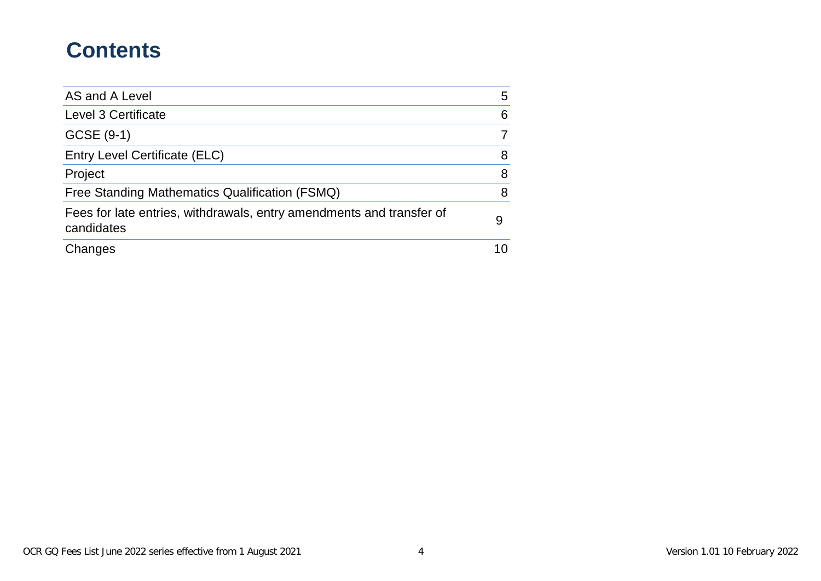## **Contents**

| AS and A Level                                                                     | 5  |
|------------------------------------------------------------------------------------|----|
| Level 3 Certificate                                                                | 6  |
| GCSE (9-1)                                                                         | 7  |
| Entry Level Certificate (ELC)                                                      | 8  |
| Project                                                                            | 8  |
| Free Standing Mathematics Qualification (FSMQ)                                     | 8  |
| Fees for late entries, withdrawals, entry amendments and transfer of<br>candidates | 9  |
| Changes                                                                            | 10 |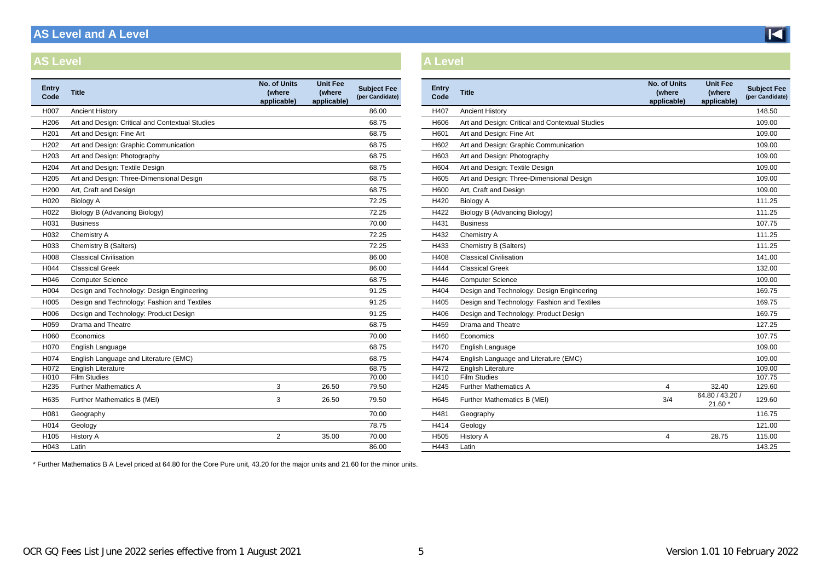### <span id="page-4-0"></span>**AS Level and A Level**

#### **AS Level A Level**

| <b>Entry</b><br>Code | <b>Title</b>                                    | No. of Units<br>(where<br>applicable) | <b>Unit Fee</b><br>(where<br>applicable) | <b>Subject Fee</b><br>(per Candidate) | Entry<br>Code | <b>Title</b>                                    | <b>No. of Units</b><br>(where<br>applicable) | <b>Unit Fee</b><br>(where<br>applicable) | <b>Subject F</b><br>(per Candid |
|----------------------|-------------------------------------------------|---------------------------------------|------------------------------------------|---------------------------------------|---------------|-------------------------------------------------|----------------------------------------------|------------------------------------------|---------------------------------|
| H007                 | <b>Ancient History</b>                          |                                       |                                          | 86.00                                 | H407          | <b>Ancient History</b>                          |                                              |                                          | 148.50                          |
| H206                 | Art and Design: Critical and Contextual Studies |                                       |                                          | 68.75                                 | H606          | Art and Design: Critical and Contextual Studies |                                              |                                          | 109.00                          |
| H <sub>201</sub>     | Art and Design: Fine Art                        |                                       |                                          | 68.75                                 | H601          | Art and Design: Fine Art                        |                                              |                                          | 109.00                          |
| H <sub>202</sub>     | Art and Design: Graphic Communication           |                                       |                                          | 68.75                                 | H602          | Art and Design: Graphic Communication           |                                              |                                          | 109.00                          |
| H <sub>203</sub>     | Art and Design: Photography                     |                                       |                                          | 68.75                                 | H603          | Art and Design: Photography                     |                                              |                                          | 109.00                          |
| H <sub>204</sub>     | Art and Design: Textile Design                  |                                       |                                          | 68.75                                 | H604          | Art and Design: Textile Design                  |                                              |                                          | 109.00                          |
| H205                 | Art and Design: Three-Dimensional Design        |                                       |                                          | 68.75                                 | H605          | Art and Design: Three-Dimensional Design        |                                              |                                          | 109.00                          |
| H <sub>200</sub>     | Art, Craft and Design                           |                                       |                                          | 68.75                                 | H600          | Art, Craft and Design                           |                                              |                                          | 109.00                          |
| H <sub>020</sub>     | <b>Biology A</b>                                |                                       |                                          | 72.25                                 | H420          | <b>Biology A</b>                                |                                              |                                          | 111.25                          |
| H <sub>022</sub>     | Biology B (Advancing Biology)                   |                                       |                                          | 72.25                                 | H422          | Biology B (Advancing Biology)                   |                                              |                                          | 111.25                          |
| H031                 | <b>Business</b>                                 |                                       |                                          | 70.00                                 | H431          | <b>Business</b>                                 |                                              |                                          | 107.75                          |
| H032                 | Chemistry A                                     |                                       |                                          | 72.25                                 | H432          | Chemistry A                                     |                                              |                                          | 111.25                          |
| H033                 | Chemistry B (Salters)                           |                                       |                                          | 72.25                                 | H433          | Chemistry B (Salters)                           |                                              |                                          | 111.25                          |
| H008                 | <b>Classical Civilisation</b>                   |                                       |                                          | 86.00                                 | H408          | <b>Classical Civilisation</b>                   |                                              |                                          | 141.00                          |
| H044                 | <b>Classical Greek</b>                          |                                       |                                          | 86.00                                 | H444          | <b>Classical Greek</b>                          |                                              |                                          | 132.00                          |
| H046                 | <b>Computer Science</b>                         |                                       |                                          | 68.75                                 | H446          | Computer Science                                |                                              |                                          | 109.00                          |
| H004                 | Design and Technology: Design Engineering       |                                       |                                          | 91.25                                 | H404          | Design and Technology: Design Engineering       |                                              |                                          | 169.75                          |
| H <sub>005</sub>     | Design and Technology: Fashion and Textiles     |                                       |                                          | 91.25                                 | H405          | Design and Technology: Fashion and Textiles     |                                              |                                          | 169.75                          |
| H006                 | Design and Technology: Product Design           |                                       |                                          | 91.25                                 | H406          | Design and Technology: Product Design           |                                              |                                          | 169.75                          |
| H <sub>059</sub>     | Drama and Theatre                               |                                       |                                          | 68.75                                 | H459          | Drama and Theatre                               |                                              |                                          | 127.25                          |
| H060                 | Economics                                       |                                       |                                          | 70.00                                 | H460          | Economics                                       |                                              |                                          | 107.75                          |
| H070                 | English Language                                |                                       |                                          | 68.75                                 | H470          | English Language                                |                                              |                                          | 109.00                          |
| H074                 | English Language and Literature (EMC)           |                                       |                                          | 68.75                                 | H474          | English Language and Literature (EMC)           |                                              |                                          | 109.00                          |
| H072                 | <b>English Literature</b>                       |                                       |                                          | 68.75                                 | H472          | <b>English Literature</b>                       |                                              |                                          | 109.00                          |
| H010                 | <b>Film Studies</b>                             |                                       |                                          | 70.00                                 | H410          | <b>Film Studies</b>                             |                                              |                                          | 107.75                          |
| H235                 | <b>Further Mathematics A</b>                    | 3                                     | 26.50                                    | 79.50                                 | H245          | <b>Further Mathematics A</b>                    | $\overline{4}$                               | 32.40                                    | 129.60                          |
| H635                 | Further Mathematics B (MEI)                     | 3                                     | 26.50                                    | 79.50                                 | H645          | Further Mathematics B (MEI)                     | 3/4                                          | 64.80 / 43.20 /<br>$21.60*$              | 129.60                          |
| H081                 | Geography                                       |                                       |                                          | 70.00                                 | H481          | Geography                                       |                                              |                                          | 116.75                          |
| H014                 | Geology                                         |                                       |                                          | 78.75                                 | H414          | Geology                                         |                                              |                                          | 121.00                          |
| H <sub>105</sub>     | <b>History A</b>                                | $\overline{2}$                        | 35.00                                    | 70.00                                 | H505          | <b>History A</b>                                | 4                                            | 28.75                                    | 115.00                          |
| H043                 | Latin                                           |                                       |                                          | 86.00                                 | H443          | Latin                                           |                                              |                                          | 143.25                          |
|                      |                                                 |                                       |                                          |                                       |               |                                                 |                                              |                                          |                                 |

| Entry<br>Code    | <b>Title</b>                                    | No. of Units<br>(where<br>applicable) | <b>Unit Fee</b><br>(where<br>applicable) | <b>Subject Fee</b><br>(per Candidate) |
|------------------|-------------------------------------------------|---------------------------------------|------------------------------------------|---------------------------------------|
| H407             | <b>Ancient History</b>                          |                                       |                                          | 148.50                                |
| H606             | Art and Design: Critical and Contextual Studies |                                       |                                          | 109.00                                |
| H601             | Art and Design: Fine Art                        |                                       |                                          | 109.00                                |
| H602             | Art and Design: Graphic Communication           |                                       |                                          | 109.00                                |
| H603             | Art and Design: Photography                     |                                       |                                          | 109.00                                |
| H604             | Art and Design: Textile Design                  |                                       |                                          | 109.00                                |
| H605             | Art and Design: Three-Dimensional Design        |                                       |                                          | 109.00                                |
| H600             | Art, Craft and Design                           |                                       |                                          | 109.00                                |
| H420             | <b>Biology A</b>                                |                                       |                                          | 111.25                                |
| H422             | Biology B (Advancing Biology)                   |                                       |                                          | 111.25                                |
| H431             | <b>Business</b>                                 |                                       |                                          | 107.75                                |
| H432             | Chemistry A                                     |                                       |                                          | 111.25                                |
| H433             | Chemistry B (Salters)                           |                                       |                                          | 111.25                                |
| H408             | <b>Classical Civilisation</b>                   |                                       |                                          | 141.00                                |
| H444             | <b>Classical Greek</b>                          |                                       |                                          | 132.00                                |
| H446             | <b>Computer Science</b>                         |                                       |                                          | 109.00                                |
| H404             | Design and Technology: Design Engineering       |                                       |                                          | 169.75                                |
| H405             | Design and Technology: Fashion and Textiles     |                                       |                                          | 169.75                                |
| H406             | Design and Technology: Product Design           |                                       |                                          | 169.75                                |
| H459             | Drama and Theatre                               |                                       |                                          | 127.25                                |
| H460             | Economics                                       |                                       |                                          | 107.75                                |
| H470             | English Language                                |                                       |                                          | 109.00                                |
| H474             | English Language and Literature (EMC)           |                                       |                                          | 109.00                                |
| H472             | English Literature                              |                                       |                                          | 109.00                                |
| H410             | <b>Film Studies</b>                             |                                       |                                          | 107.75                                |
| H <sub>245</sub> | <b>Further Mathematics A</b>                    | 4                                     | 32.40                                    | 129.60                                |
| H645             | Further Mathematics B (MEI)                     | 3/4                                   | 64.80 / 43.20 /<br>21.60 *               | 129.60                                |
| H481             | Geography                                       |                                       |                                          | 116.75                                |
| H414             | Geology                                         |                                       |                                          | 121.00                                |
| H <sub>505</sub> | <b>History A</b>                                | 4                                     | 28.75                                    | 115.00                                |
| H443             | Latin                                           |                                       |                                          | 143.25                                |

\* Further Mathematics B A Level priced at 64.80 for the Core Pure unit, 43.20 for the major units and 21.60 for the minor units.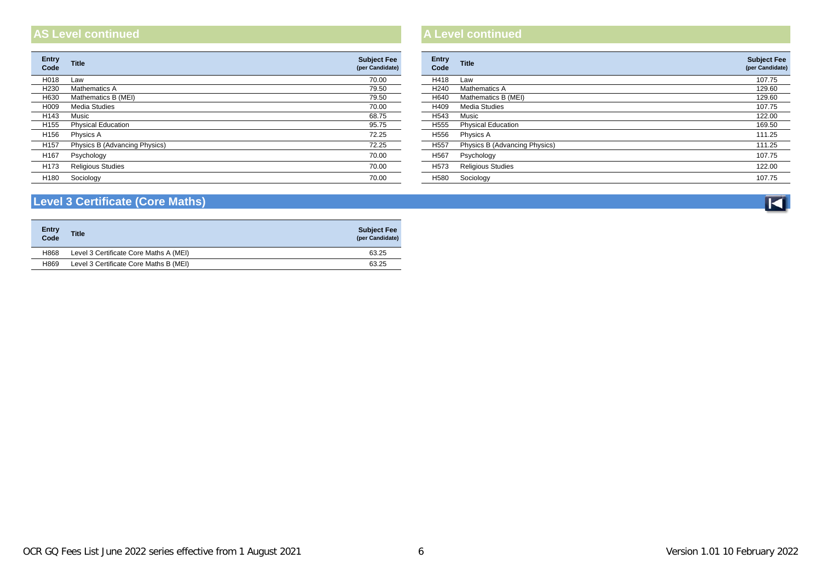#### **AS Level continued A Level continued**

| <b>Title</b>                  | <b>Subject Fee</b><br>(per Candidate) | <b>Entry</b><br>Code | Title                         | <b>Subject F</b><br>(per Candid |
|-------------------------------|---------------------------------------|----------------------|-------------------------------|---------------------------------|
| Law                           | 70.00                                 | H418                 | Law                           | 107.75                          |
| Mathematics A                 | 79.50                                 | H240                 | Mathematics A                 | 129.60                          |
| Mathematics B (MEI)           | 79.50                                 | H640                 | Mathematics B (MEI)           | 129.60                          |
| Media Studies                 | 70.00                                 | H409                 | Media Studies                 | 107.75                          |
| Music                         | 68.75                                 | H543                 | Music                         | 122.00                          |
| <b>Physical Education</b>     | 95.75                                 | H555                 | <b>Physical Education</b>     | 169.50                          |
| Physics A                     | 72.25                                 | H556                 | Physics A                     | 111.25                          |
| Physics B (Advancing Physics) | 72.25                                 | H557                 | Physics B (Advancing Physics) | 111.25                          |
| Psychology                    | 70.00                                 | H <sub>567</sub>     | Psychology                    | 107.75                          |
| <b>Religious Studies</b>      | 70.00                                 | H573                 | <b>Religious Studies</b>      | 122.00                          |
| Sociology                     | 70.00                                 | H580                 | Sociology                     | 107.75                          |
|                               |                                       |                      |                               |                                 |

| Entry<br>Code    | <b>Title</b>                  | <b>Subject Fee</b><br>(per Candidate) |
|------------------|-------------------------------|---------------------------------------|
| H418             | Law                           | 107.75                                |
| H <sub>240</sub> | Mathematics A                 | 129.60                                |
| H640             | Mathematics B (MEI)           | 129.60                                |
| H409             | Media Studies                 | 107.75                                |
| H543             | Music                         | 122.00                                |
| H <sub>555</sub> | <b>Physical Education</b>     | 169.50                                |
| H <sub>556</sub> | Physics A                     | 111.25                                |
| H <sub>557</sub> | Physics B (Advancing Physics) | 111.25                                |
| H <sub>567</sub> | Psychology                    | 107.75                                |
| H <sub>573</sub> | <b>Religious Studies</b>      | 122.00                                |
| H580             | Sociology                     | 107.75                                |

#### <span id="page-5-0"></span>**Level 3 Certificate (Core Maths)**

| <b>Entry</b><br>Code | <b>Title</b>                           | <b>Subject Fee</b><br>(per Candidate) |
|----------------------|----------------------------------------|---------------------------------------|
| H868                 | Level 3 Certificate Core Maths A (MEI) | 63.25                                 |
| H869                 | Level 3 Certificate Core Maths B (MEI) | 63.25                                 |

 $\overline{\mathbf{K}}$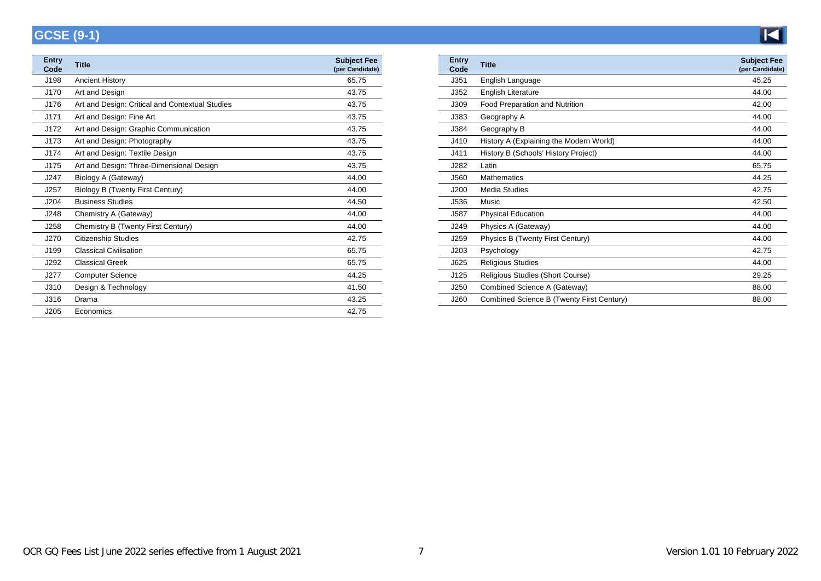### <span id="page-6-1"></span>**GCSE (9-1)**

<span id="page-6-0"></span>

| <b>Entry</b><br>Code | <b>Title</b>                                    | <b>Subject Fee</b><br>(per Candidate) | <b>Entry</b><br>Code | <b>Title</b>                              | Subject  <br>(per Candio |
|----------------------|-------------------------------------------------|---------------------------------------|----------------------|-------------------------------------------|--------------------------|
| J198                 | <b>Ancient History</b>                          | 65.75                                 | J351                 | English Language                          | 45.25                    |
| J170                 | Art and Design                                  | 43.75                                 | J352                 | <b>English Literature</b>                 | 44.00                    |
| J176                 | Art and Design: Critical and Contextual Studies | 43.75                                 | J309                 | Food Preparation and Nutrition            | 42.00                    |
| J171                 | Art and Design: Fine Art                        | 43.75                                 | J383                 | Geography A                               | 44.00                    |
| J172                 | Art and Design: Graphic Communication           | 43.75                                 | J384                 | Geography B                               | 44.00                    |
| J173                 | Art and Design: Photography                     | 43.75                                 | J410                 | History A (Explaining the Modern World)   | 44.00                    |
| J174                 | Art and Design: Textile Design                  | 43.75                                 | J411                 | History B (Schools' History Project)      | 44.00                    |
| J175                 | Art and Design: Three-Dimensional Design        | 43.75                                 | J282                 | Latin                                     | 65.75                    |
| J247                 | Biology A (Gateway)                             | 44.00                                 | J560                 | <b>Mathematics</b>                        | 44.25                    |
| J257                 | Biology B (Twenty First Century)                | 44.00                                 | J200                 | <b>Media Studies</b>                      | 42.75                    |
| J204                 | <b>Business Studies</b>                         | 44.50                                 | J536                 | Music                                     | 42.50                    |
| J248                 | Chemistry A (Gateway)                           | 44.00                                 | J587                 | <b>Physical Education</b>                 | 44.00                    |
| J258                 | Chemistry B (Twenty First Century)              | 44.00                                 | J249                 | Physics A (Gateway)                       | 44.00                    |
| J270                 | <b>Citizenship Studies</b>                      | 42.75                                 | J259                 | Physics B (Twenty First Century)          | 44.00                    |
| J199                 | <b>Classical Civilisation</b>                   | 65.75                                 | J203                 | Psychology                                | 42.75                    |
| J292                 | <b>Classical Greek</b>                          | 65.75                                 | J625                 | <b>Religious Studies</b>                  | 44.00                    |
| J277                 | <b>Computer Science</b>                         | 44.25                                 | J125                 | Religious Studies (Short Course)          | 29.25                    |
| J310                 | Design & Technology                             | 41.50                                 | J250                 | Combined Science A (Gateway)              | 88.00                    |
| J316                 | Drama                                           | 43.25                                 | J260                 | Combined Science B (Twenty First Century) | 88.00                    |
| J205                 | Economics                                       | 42.75                                 |                      |                                           |                          |

| <b>Entry</b><br>Code | <b>Title</b>                              | <b>Subject Fee</b><br>(per Candidate) |
|----------------------|-------------------------------------------|---------------------------------------|
| J351                 | English Language                          | 45.25                                 |
| J352                 | <b>English Literature</b>                 | 44.00                                 |
| J309                 | Food Preparation and Nutrition            | 42.00                                 |
| J383                 | Geography A                               | 44.00                                 |
| J384                 | Geography B                               | 44.00                                 |
| J410                 | History A (Explaining the Modern World)   | 44.00                                 |
| J411                 | History B (Schools' History Project)      | 44.00                                 |
| J282                 | Latin                                     | 65.75                                 |
| J560                 | Mathematics                               | 44.25                                 |
| J200                 | Media Studies                             | 42.75                                 |
| J536                 | Music                                     | 42.50                                 |
| J587                 | <b>Physical Education</b>                 | 44.00                                 |
| J249                 | Physics A (Gateway)                       | 44.00                                 |
| J259                 | Physics B (Twenty First Century)          | 44.00                                 |
| J203                 | Psychology                                | 42.75                                 |
| J625                 | <b>Religious Studies</b>                  | 44.00                                 |
| J125                 | Religious Studies (Short Course)          | 29.25                                 |
| J250                 | Combined Science A (Gateway)              | 88.00                                 |
| J260                 | Combined Science B (Twenty First Century) | 88.00                                 |

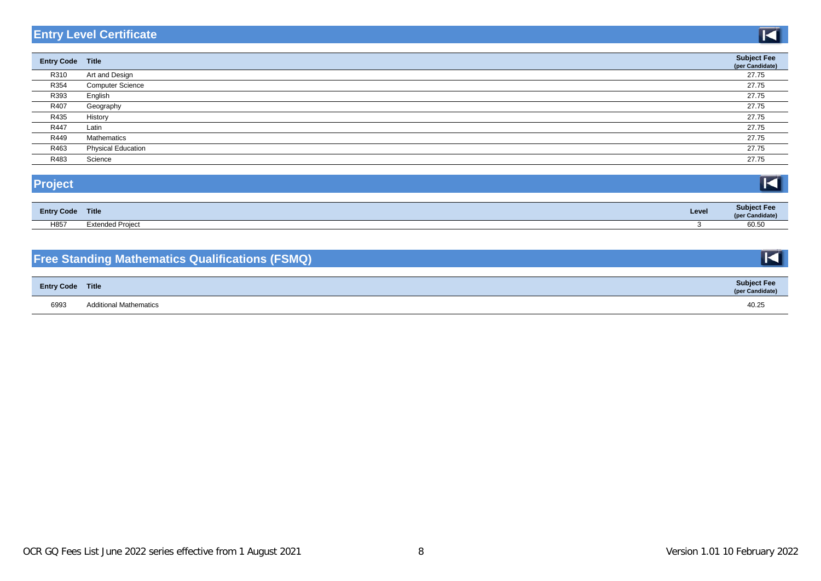#### <span id="page-7-0"></span>**Entry Level Certificate**

| <b>Entry Code Title</b> |                           | <b>Subject Fee</b><br>(per Candidate) |
|-------------------------|---------------------------|---------------------------------------|
| R310                    | Art and Design            | 27.75                                 |
| R354                    | <b>Computer Science</b>   | 27.75                                 |
| R393                    | English                   | 27.75                                 |
| R407                    | Geography                 | 27.75                                 |
| R435                    | History                   | 27.75                                 |
| R447                    | Latin                     | 27.75                                 |
| R449                    | Mathematics               | 27.75                                 |
| R463                    | <b>Physical Education</b> | 27.75                                 |
| R483                    | Science                   | 27.75                                 |

| <b>Entry Code Title</b> |                         | Level | <b>Subject Fee</b><br>(per Candidate) |
|-------------------------|-------------------------|-------|---------------------------------------|
| H857                    | <b>Extended Project</b> |       | 60.50                                 |

H857 Extended Project 3 60.50

#### **Free Standing Mathematics Qualifications (FSMQ)**

| <b>Entry Code Title</b> |                               | <b>Subject Fee</b><br>(per Candidate) |
|-------------------------|-------------------------------|---------------------------------------|
| 6993                    | <b>Additional Mathematics</b> | 40.25                                 |

KI

 $\blacksquare$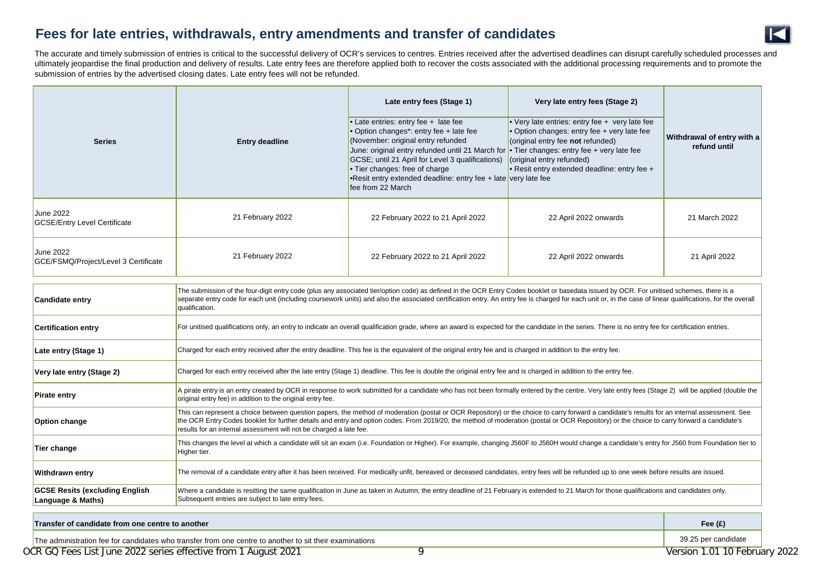#### <span id="page-8-0"></span>**Fees for late entries, withdrawals, entry amendments and transfer of candidates**



The accurate and timely submission of entries is critical to the successful delivery of OCR's services to centres. Entries received after the advertised deadlines can disrupt carefully scheduled processes and ultimately jeopardise the final production and delivery of results. Late entry fees are therefore applied both to recover the costs associated with the additional processing requirements and to promote the submission of entries by the advertised closing dates. Late entry fees will not be refunded.

| <b>Series</b>                                                                                           | <b>Entry deadline</b>                                                                                                                                                                                                                                                                                                                                                                                                                                             | Late entry fees (Stage 1)<br>• Late entries: entry fee + late fee<br>• Option changes*: entry fee + late fee<br>(November: original entry refunded<br>June: original entry refunded until 21 March for<br>GCSE; until 21 April for Level 3 qualifications)<br>• Tier changes: free of charge<br>.Resit entry extended deadline: entry fee + late very late fee<br>fee from 22 March | Very late entry fees (Stage 2)<br>• Very late entries: entry fee + very late fee<br>· Option changes: entry fee + very late fee<br>(original entry fee not refunded)<br>$\cdot$ Tier changes: entry fee + very late fee<br>(original entry refunded)<br>• Resit entry extended deadline: entry fee + | Withdrawal of entry with a<br>refund until |
|---------------------------------------------------------------------------------------------------------|-------------------------------------------------------------------------------------------------------------------------------------------------------------------------------------------------------------------------------------------------------------------------------------------------------------------------------------------------------------------------------------------------------------------------------------------------------------------|-------------------------------------------------------------------------------------------------------------------------------------------------------------------------------------------------------------------------------------------------------------------------------------------------------------------------------------------------------------------------------------|------------------------------------------------------------------------------------------------------------------------------------------------------------------------------------------------------------------------------------------------------------------------------------------------------|--------------------------------------------|
| June 2022<br><b>GCSE/Entry Level Certificate</b>                                                        | 21 February 2022                                                                                                                                                                                                                                                                                                                                                                                                                                                  | 22 February 2022 to 21 April 2022                                                                                                                                                                                                                                                                                                                                                   | 22 April 2022 onwards                                                                                                                                                                                                                                                                                | 21 March 2022                              |
| <b>June 2022</b><br>GCE/FSMQ/Project/Level 3 Certificate                                                | 21 February 2022                                                                                                                                                                                                                                                                                                                                                                                                                                                  | 22 February 2022 to 21 April 2022                                                                                                                                                                                                                                                                                                                                                   | 22 April 2022 onwards                                                                                                                                                                                                                                                                                | 21 April 2022                              |
| <b>Candidate entry</b>                                                                                  | The submission of the four-digit entry code (plus any associated tier/option code) as defined in the OCR Entry Codes booklet or basedata issued by OCR. For unitised schemes, there is a<br>separate entry code for each unit (including coursework units) and also the associated certification entry. An entry fee is charged for each unit or, in the case of linear qualifications, for the overall<br>qualification.                                         |                                                                                                                                                                                                                                                                                                                                                                                     |                                                                                                                                                                                                                                                                                                      |                                            |
| <b>Certification entry</b>                                                                              | For unitised qualifications only, an entry to indicate an overall qualification grade, where an award is expected for the candidate in the series. There is no entry fee for certification entries.                                                                                                                                                                                                                                                               |                                                                                                                                                                                                                                                                                                                                                                                     |                                                                                                                                                                                                                                                                                                      |                                            |
| Late entry (Stage 1)                                                                                    | Charged for each entry received after the entry deadline. This fee is the equivalent of the original entry fee and is charged in addition to the entry fee.                                                                                                                                                                                                                                                                                                       |                                                                                                                                                                                                                                                                                                                                                                                     |                                                                                                                                                                                                                                                                                                      |                                            |
| Very late entry (Stage 2)                                                                               | Charged for each entry received after the late entry (Stage 1) deadline. This fee is double the original entry fee and is charged in addition to the entry fee.                                                                                                                                                                                                                                                                                                   |                                                                                                                                                                                                                                                                                                                                                                                     |                                                                                                                                                                                                                                                                                                      |                                            |
| <b>Pirate entry</b>                                                                                     | A pirate entry is an entry created by OCR in response to work submitted for a candidate who has not been formally entered by the centre. Very late entry fees (Stage 2) will be applied (double the<br>original entry fee) in addition to the original entry fee.                                                                                                                                                                                                 |                                                                                                                                                                                                                                                                                                                                                                                     |                                                                                                                                                                                                                                                                                                      |                                            |
| Option change                                                                                           | This can represent a choice between question papers, the method of moderation (postal or OCR Repository) or the choice to carry forward a candidate's results for an internal assessment. See<br>the OCR Entry Codes booklet for further details and entry and option codes. From 2019/20, the method of moderation (postal or OCR Repository) or the choice to carry forward a candidate's<br>results for an internal assessment will not be charged a late fee. |                                                                                                                                                                                                                                                                                                                                                                                     |                                                                                                                                                                                                                                                                                                      |                                            |
| Tier change                                                                                             | This changes the level at which a candidate will sit an exam (i.e. Foundation or Higher). For example, changing J560F to J560H would change a candidate's entry for J560 from Foundation tier to<br>Higher tier.                                                                                                                                                                                                                                                  |                                                                                                                                                                                                                                                                                                                                                                                     |                                                                                                                                                                                                                                                                                                      |                                            |
| Withdrawn entry                                                                                         | The removal of a candidate entry after it has been received. For medically unfit, bereaved or deceased candidates, entry fees will be refunded up to one week before results are issued.                                                                                                                                                                                                                                                                          |                                                                                                                                                                                                                                                                                                                                                                                     |                                                                                                                                                                                                                                                                                                      |                                            |
| <b>GCSE Resits (excluding English</b><br>Language & Maths)                                              | Where a candidate is resitting the same qualification in June as taken in Autumn, the entry deadline of 21 February is extended to 21 March for those qualifications and candidates only.<br>Subsequent entries are subject to late entry fees.                                                                                                                                                                                                                   |                                                                                                                                                                                                                                                                                                                                                                                     |                                                                                                                                                                                                                                                                                                      |                                            |
| Transfer of candidate from one centre to another                                                        |                                                                                                                                                                                                                                                                                                                                                                                                                                                                   |                                                                                                                                                                                                                                                                                                                                                                                     | Fee $(f)$                                                                                                                                                                                                                                                                                            |                                            |
| The administration fee for candidates who transfer from one centre to another to sit their examinations |                                                                                                                                                                                                                                                                                                                                                                                                                                                                   |                                                                                                                                                                                                                                                                                                                                                                                     | 39.25 per candidate                                                                                                                                                                                                                                                                                  |                                            |